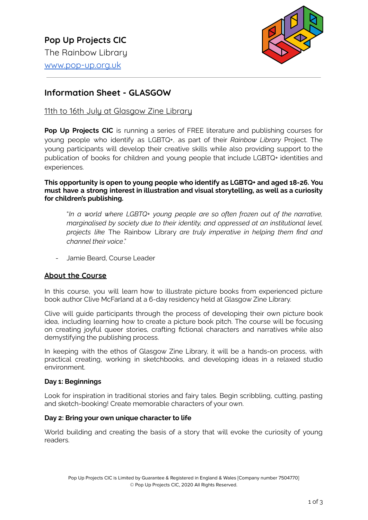

# **Information Sheet - GLASGOW**

# 11th to 16th July at Glasgow Zine Library

**Pop Up Projects CIC** is running a series of FREE literature and publishing courses for young people who identify as LGBTQ+, as part of their *Rainbow Library* Project. The young participants will develop their creative skills while also providing support to the publication of books for children and young people that include LGBTQ+ identities and experiences.

**This opportunity is open to young people who identify as LGBTQ+ and aged 18-26. You must have a strong interest in illustration and visual storytelling, as well as a curiosity for children's publishing.**

"*In a world where LGBTQ+ young people are so often frozen out of the narrative, marginalised by society due to their identity, and oppressed at an institutional level, projects like* The Rainbow Library *are truly imperative in helping them find and channel their voice*."

- Jamie Beard, Course Leader

### **About the Course**

In this course, you will learn how to illustrate picture books from experienced picture book author Clive McFarland at a 6-day residency held at Glasgow Zine Library.

Clive will guide participants through the process of developing their own picture book idea, including learning how to create a picture book pitch. The course will be focusing on creating joyful queer stories, crafting fictional characters and narratives while also demystifying the publishing process.

In keeping with the ethos of Glasgow Zine Library, it will be a hands-on process, with practical creating, working in sketchbooks, and developing ideas in a relaxed studio environment.

#### **Day 1: Beginnings**

Look for inspiration in traditional stories and fairy tales. Begin scribbling, cutting, pasting and sketch-booking! Create memorable characters of your own.

#### **Day 2: Bring your own unique character to life**

World building and creating the basis of a story that will evoke the curiosity of young readers.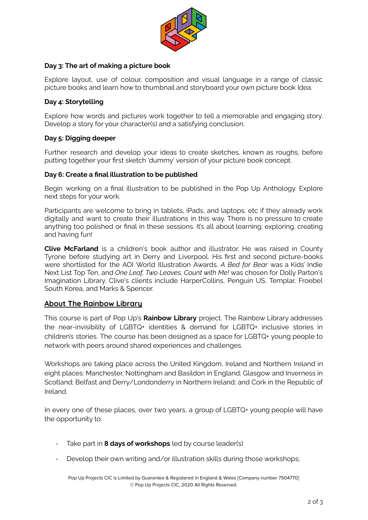

#### **Day 3: The art of making a picture book**

Explore layout, use of colour, composition and visual language in a range of classic picture books and learn how to thumbnail and storyboard your own picture book Idea.

#### **Day 4: Storytelling**

Explore how words and pictures work together to tell a memorable and engaging story. Develop a story for your character(s) and a satisfying conclusion.

#### **Day 5: Digging deeper**

Further research and develop your ideas to create sketches, known as roughs, before putting together your first sketch 'dummy' version of your picture book concept.

#### **Day 6: Create a final illustration to be published**

Begin working on a final illustration to be published in the Pop Up Anthology. Explore next steps for your work.

Participants are welcome to bring in tablets, iPads, and laptops, etc if they already work digitally and want to create their illustrations in this way. There is no pressure to create anything too polished or final in these sessions. It's all about learning, exploring, creating and having fun!

**Clive McFarland** is a children's book author and illustrator. He was raised in County Tyrone before studying art in Derry and Liverpool. His first and second picture-books were shortlisted for the AOI World Illustration Awards. *A Bed for Bear* was a Kids' Indie Next List Top Ten, and *One Leaf, Two Leaves, Count with Me!* was chosen for Dolly Parton's Imagination Library. Clive's clients include HarperCollins, Penguin US, Templar, Froebel South Korea, and Marks & Spencer.

### **About The Rainbow Library**

This course is part of Pop Up's **Rainbow Library** project. The Rainbow Library addresses the near-invisibility of LGBTQ+ identities & demand for LGBTQ+ inclusive stories in children's stories. The course has been designed as a space for LGBTQ+ young people to network with peers around shared experiences and challenges.

Workshops are taking place across the United Kingdom, Ireland and Northern Ireland in eight places: Manchester, Nottingham and Basildon in England; Glasgow and Inverness in Scotland; Belfast and Derry/Londonderry in Northern Ireland; and Cork in the Republic of Ireland.

In every one of these places, over two years, a group of LGBTQ+ young people will have the opportunity to:

- Take part in **8 days of workshops** led by course leader(s)
- Develop their own writing and/or illustration skills during those workshops;